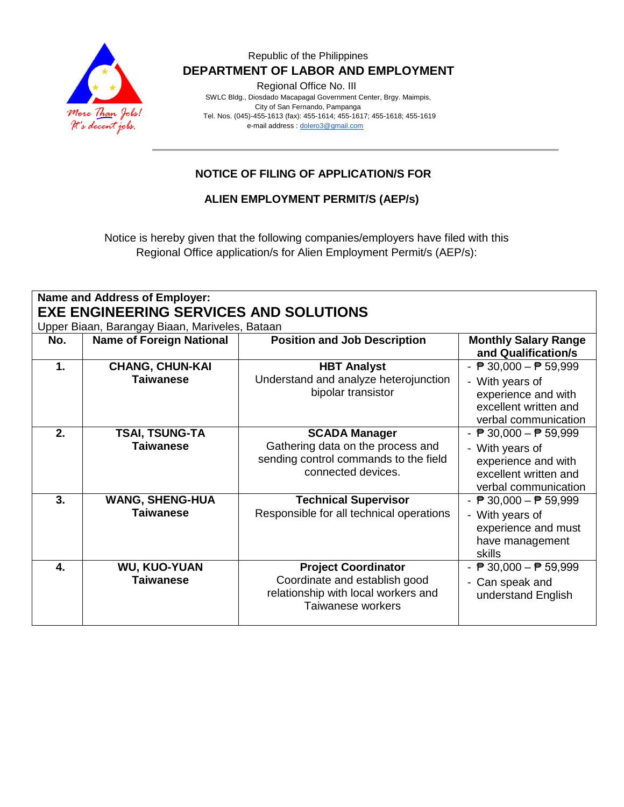

Regional Office No. III

 SWLC Bldg., Diosdado Macapagal Government Center, Brgy. Maimpis, City of San Fernando, Pampanga Tel. Nos. (045)-455-1613 (fax): 455-1614; 455-1617; 455-1618; 455-1619 e-mail address [: dolero3@gmail.com](mailto:dolero3@gmail.com)

## **NOTICE OF FILING OF APPLICATION/S FOR**

**ALIEN EMPLOYMENT PERMIT/S (AEP/s)**

Notice is hereby given that the following companies/employers have filed with this Regional Office application/s for Alien Employment Permit/s (AEP/s):

| <b>Name and Address of Employer:</b><br><b>EXE ENGINEERING SERVICES AND SOLUTIONS</b><br>Upper Biaan, Barangay Biaan, Mariveles, Bataan |                                            |                                                                                                                          |                                                                                                                                            |  |
|-----------------------------------------------------------------------------------------------------------------------------------------|--------------------------------------------|--------------------------------------------------------------------------------------------------------------------------|--------------------------------------------------------------------------------------------------------------------------------------------|--|
| No.                                                                                                                                     | <b>Name of Foreign National</b>            | <b>Position and Job Description</b>                                                                                      | <b>Monthly Salary Range</b><br>and Qualification/s                                                                                         |  |
| $\mathbf{1}$ .                                                                                                                          | <b>CHANG, CHUN-KAI</b><br><b>Taiwanese</b> | <b>HBT Analyst</b><br>Understand and analyze heterojunction<br>bipolar transistor                                        | - $\overline{P}$ 30,000 - $\overline{P}$ 59,999<br>- With years of<br>experience and with<br>excellent written and<br>verbal communication |  |
| 2.                                                                                                                                      | <b>TSAI, TSUNG-TA</b><br><b>Taiwanese</b>  | <b>SCADA Manager</b><br>Gathering data on the process and<br>sending control commands to the field<br>connected devices. | - $\overline{P}$ 30,000 - $\overline{P}$ 59,999<br>- With years of<br>experience and with<br>excellent written and<br>verbal communication |  |
| 3.                                                                                                                                      | <b>WANG, SHENG-HUA</b><br><b>Taiwanese</b> | <b>Technical Supervisor</b><br>Responsible for all technical operations                                                  | - $\overline{P}$ 30,000 - $\overline{P}$ 59,999<br>- With years of<br>experience and must<br>have management<br>skills                     |  |
| $\overline{\mathbf{4}}$ .                                                                                                               | <b>WU, KUO-YUAN</b><br><b>Taiwanese</b>    | <b>Project Coordinator</b><br>Coordinate and establish good<br>relationship with local workers and<br>Taiwanese workers  | - $\overline{P}$ 30,000 - $\overline{P}$ 59,999<br>- Can speak and<br>understand English                                                   |  |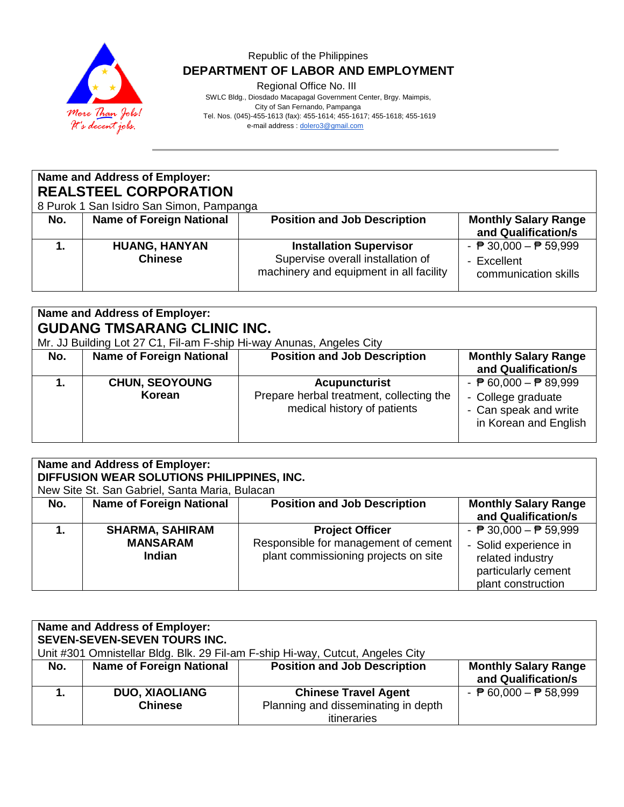

Regional Office No. III

 SWLC Bldg., Diosdado Macapagal Government Center, Brgy. Maimpis, City of San Fernando, Pampanga Tel. Nos. (045)-455-1613 (fax): 455-1614; 455-1617; 455-1618; 455-1619 e-mail address [: dolero3@gmail.com](mailto:dolero3@gmail.com)

| <b>Name and Address of Employer:</b><br><b>REALSTEEL CORPORATION</b><br>8 Purok 1 San Isidro San Simon, Pampanga |                                        |                                                                                                                |                                                                                        |  |
|------------------------------------------------------------------------------------------------------------------|----------------------------------------|----------------------------------------------------------------------------------------------------------------|----------------------------------------------------------------------------------------|--|
| No.                                                                                                              | <b>Name of Foreign National</b>        | <b>Position and Job Description</b>                                                                            | <b>Monthly Salary Range</b><br>and Qualification/s                                     |  |
|                                                                                                                  | <b>HUANG, HANYAN</b><br><b>Chinese</b> | <b>Installation Supervisor</b><br>Supervise overall installation of<br>machinery and equipment in all facility | - $\overline{P}$ 30,000 - $\overline{P}$ 59,999<br>- Excellent<br>communication skills |  |

# **Name and Address of Employer: GUDANG TMSARANG CLINIC INC.**

Mr. JJ Building Lot 27 C1, Fil-am F-ship Hi-way Anunas, Angeles City

| No. | <b>Name of Foreign National</b> | <b>Position and Job Description</b>                                                             | <b>Monthly Salary Range</b><br>and Qualification/s                                                                      |
|-----|---------------------------------|-------------------------------------------------------------------------------------------------|-------------------------------------------------------------------------------------------------------------------------|
|     | <b>CHUN, SEOYOUNG</b><br>Korean | <b>Acupuncturist</b><br>Prepare herbal treatment, collecting the<br>medical history of patients | - $\overline{P}$ 60,000 - $\overline{P}$ 89,999<br>- College graduate<br>- Can speak and write<br>in Korean and English |

| <b>Name and Address of Employer:</b><br>DIFFUSION WEAR SOLUTIONS PHILIPPINES, INC.<br>New Site St. San Gabriel, Santa Maria, Bulacan |                                                            |                                                                                                        |                                                                                                                                           |
|--------------------------------------------------------------------------------------------------------------------------------------|------------------------------------------------------------|--------------------------------------------------------------------------------------------------------|-------------------------------------------------------------------------------------------------------------------------------------------|
| No.                                                                                                                                  | <b>Name of Foreign National</b>                            | <b>Position and Job Description</b>                                                                    | <b>Monthly Salary Range</b><br>and Qualification/s                                                                                        |
|                                                                                                                                      | <b>SHARMA, SAHIRAM</b><br><b>MANSARAM</b><br><b>Indian</b> | <b>Project Officer</b><br>Responsible for management of cement<br>plant commissioning projects on site | - $\overline{P}$ 30,000 - $\overline{P}$ 59,999<br>- Solid experience in<br>related industry<br>particularly cement<br>plant construction |

| <b>Name and Address of Employer:</b><br><b>SEVEN-SEVEN-SEVEN TOURS INC.</b><br>Unit #301 Omnistellar Bldg. Blk. 29 Fil-am F-ship Hi-way, Cutcut, Angeles City |                                         |                                                                                   |                                                    |  |
|---------------------------------------------------------------------------------------------------------------------------------------------------------------|-----------------------------------------|-----------------------------------------------------------------------------------|----------------------------------------------------|--|
| No.                                                                                                                                                           | <b>Name of Foreign National</b>         | <b>Position and Job Description</b>                                               | <b>Monthly Salary Range</b><br>and Qualification/s |  |
|                                                                                                                                                               | <b>DUO, XIAOLIANG</b><br><b>Chinese</b> | <b>Chinese Travel Agent</b><br>Planning and disseminating in depth<br>itineraries | - $\overline{P}$ 60,000 - $\overline{P}$ 58,999    |  |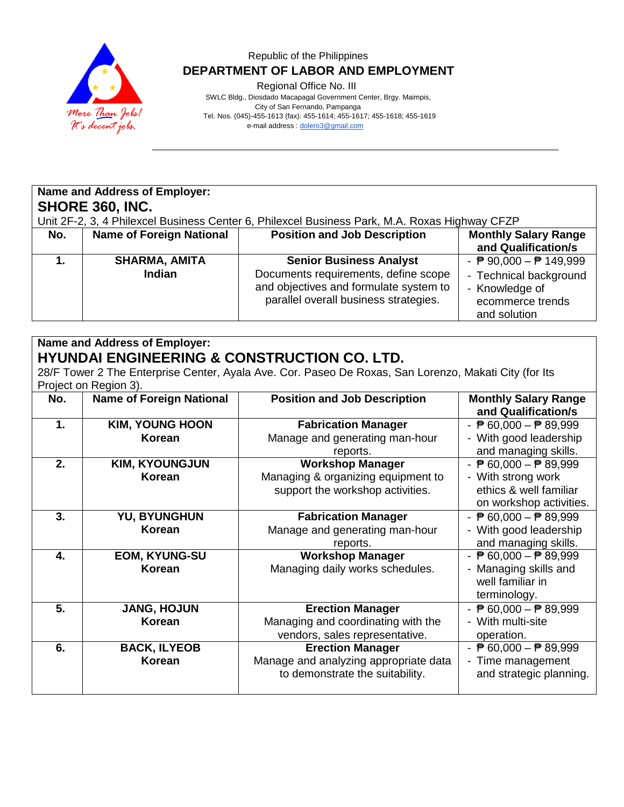

Regional Office No. III

 SWLC Bldg., Diosdado Macapagal Government Center, Brgy. Maimpis, City of San Fernando, Pampanga Tel. Nos. (045)-455-1613 (fax): 455-1614; 455-1617; 455-1618; 455-1619 e-mail address [: dolero3@gmail.com](mailto:dolero3@gmail.com)

## **Name and Address of Employer: SHORE 360, INC.**

Unit 2F-2, 3, 4 Philexcel Business Center 6, Philexcel Business Park, M.A. Roxas Highway CFZP

| No. | <b>Name of Foreign National</b>       | <b>Position and Job Description</b>                                                                                                                       | <b>Monthly Salary Range</b><br>and Qualification/s                                                                               |
|-----|---------------------------------------|-----------------------------------------------------------------------------------------------------------------------------------------------------------|----------------------------------------------------------------------------------------------------------------------------------|
|     | <b>SHARMA, AMITA</b><br><b>Indian</b> | <b>Senior Business Analyst</b><br>Documents requirements, define scope<br>and objectives and formulate system to<br>parallel overall business strategies. | - $\overline{P}$ 90,000 – $\overline{P}$ 149,999<br>- Technical background<br>- Knowledge of<br>ecommerce trends<br>and solution |

## **Name and Address of Employer: HYUNDAI ENGINEERING & CONSTRUCTION CO. LTD.**

28/F Tower 2 The Enterprise Center, Ayala Ave. Cor. Paseo De Roxas, San Lorenzo, Makati City (for Its Project on Region 3).

| No. | <b>Name of Foreign National</b>      | <b>Position and Job Description</b>                                                                 | <b>Monthly Salary Range</b><br>and Qualification/s                                                                         |
|-----|--------------------------------------|-----------------------------------------------------------------------------------------------------|----------------------------------------------------------------------------------------------------------------------------|
| 1.  | <b>KIM, YOUNG HOON</b><br>Korean     | <b>Fabrication Manager</b><br>Manage and generating man-hour<br>reports.                            | - $\overline{P}$ 60,000 - $\overline{P}$ 89,999<br>- With good leadership<br>and managing skills.                          |
| 2.  | <b>KIM, KYOUNGJUN</b><br>Korean      | <b>Workshop Manager</b><br>Managing & organizing equipment to<br>support the workshop activities.   | - $\overline{P}$ 60,000 - $\overline{P}$ 89,999<br>- With strong work<br>ethics & well familiar<br>on workshop activities. |
| 3.  | <b>YU, BYUNGHUN</b><br><b>Korean</b> | <b>Fabrication Manager</b><br>Manage and generating man-hour<br>reports.                            | - $\overline{P}$ 60,000 - $\overline{P}$ 89,999<br>- With good leadership<br>and managing skills.                          |
| 4.  | EOM, KYUNG-SU<br><b>Korean</b>       | <b>Workshop Manager</b><br>Managing daily works schedules.                                          | - $\overline{P}$ 60,000 - $\overline{P}$ 89,999<br>- Managing skills and<br>well familiar in<br>terminology.               |
| 5.  | <b>JANG, HOJUN</b><br><b>Korean</b>  | <b>Erection Manager</b><br>Managing and coordinating with the<br>vendors, sales representative.     | - $\overline{P}$ 60,000 - $\overline{P}$ 89,999<br>- With multi-site<br>operation.                                         |
| 6.  | <b>BACK, ILYEOB</b><br><b>Korean</b> | <b>Erection Manager</b><br>Manage and analyzing appropriate data<br>to demonstrate the suitability. | - $\overline{P}$ 60,000 - $\overline{P}$ 89,999<br>- Time management<br>and strategic planning.                            |